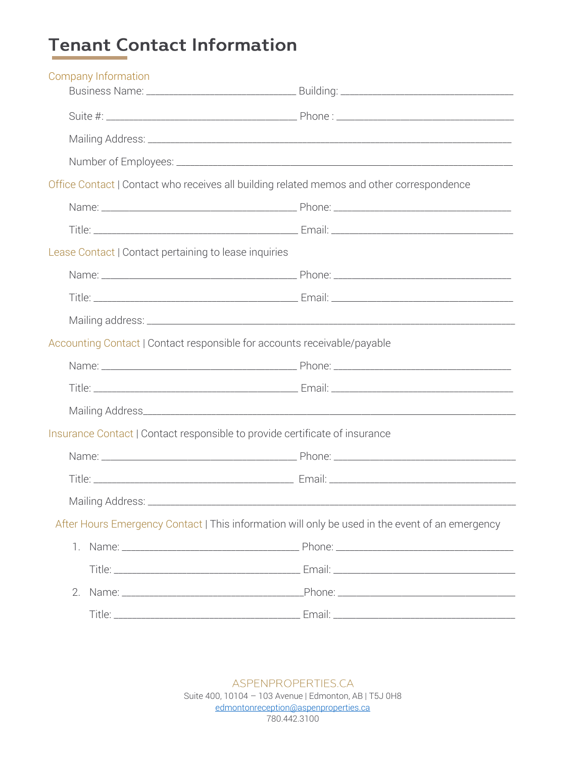## **Tenant Contact Information**

| Company Information                                                         |                                                                                                 |
|-----------------------------------------------------------------------------|-------------------------------------------------------------------------------------------------|
|                                                                             |                                                                                                 |
|                                                                             |                                                                                                 |
|                                                                             |                                                                                                 |
|                                                                             |                                                                                                 |
|                                                                             | Office Contact   Contact who receives all building related memos and other correspondence       |
|                                                                             |                                                                                                 |
|                                                                             |                                                                                                 |
| Lease Contact   Contact pertaining to lease inquiries                       |                                                                                                 |
|                                                                             |                                                                                                 |
|                                                                             |                                                                                                 |
|                                                                             |                                                                                                 |
| Accounting Contact   Contact responsible for accounts receivable/payable    |                                                                                                 |
|                                                                             |                                                                                                 |
|                                                                             |                                                                                                 |
|                                                                             |                                                                                                 |
| Insurance Contact   Contact responsible to provide certificate of insurance |                                                                                                 |
|                                                                             |                                                                                                 |
|                                                                             |                                                                                                 |
|                                                                             |                                                                                                 |
|                                                                             | After Hours Emergency Contact   This information will only be used in the event of an emergency |
| 1.                                                                          |                                                                                                 |
|                                                                             |                                                                                                 |
| 2.                                                                          |                                                                                                 |
|                                                                             |                                                                                                 |

ASPENPROPERTIES.CA Suite 400, 10104 - 103 Avenue | Edmonton, AB | T5J 0H8 edmontonreception@aspenproperties.ca 780.442.3100